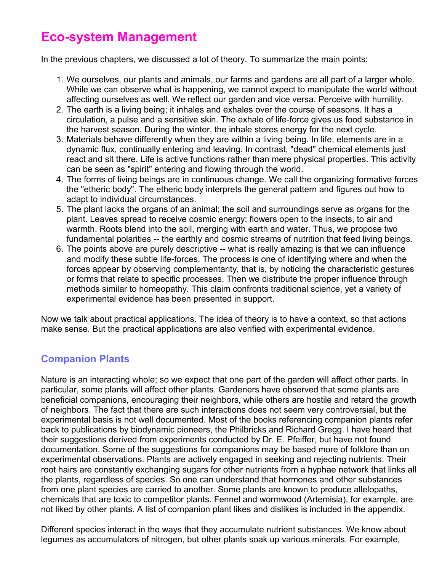# **Eco-system Management**

In the previous chapters, we discussed a lot of theory. To summarize the main points:

- 1. We ourselves, our plants and animals, our farms and gardens are all part of a larger whole. While we can observe what is happening, we cannot expect to manipulate the world without affecting ourselves as well. We reflect our garden and vice versa. Perceive with humility.
- 2. The earth is a living being; it inhales and exhales over the course of seasons. It has a circulation, a pulse and a sensitive skin. The exhale of life-force gives us food substance in the harvest season, During the winter, the inhale stores energy for the next cycle.
- 3. Materials behave differently when they are within a living being. In life, elements are in a dynamic flux, continually entering and leaving. In contrast, "dead" chemical elements just react and sit there. Life is active functions rather than mere physical properties. This activity can be seen as "spirit" entering and flowing through the world.
- 4. The forms of living beings are in continuous change. We call the organizing formative forces the "etheric body". The etheric body interprets the general pattern and figures out how to adapt to individual circumstances.
- 5. The plant lacks the organs of an animal; the soil and surroundings serve as organs for the plant. Leaves spread to receive cosmic energy; flowers open to the insects, to air and warmth. Roots blend into the soil, merging with earth and water. Thus, we propose two fundamental polarities -- the earthly and cosmic streams of nutrition that feed living beings.
- 6. The points above are purely descriptive -- what is really amazing is that we can influence and modify these subtle life-forces. The process is one of identifying where and when the forces appear by observing complementarity, that is, by noticing the characteristic gestures or forms that relate to specific processes. Then we distribute the proper influence through methods similar to homeopathy. This claim confronts traditional science, yet a variety of experimental evidence has been presented in support.

Now we talk about practical applications. The idea of theory is to have a context, so that actions make sense. But the practical applications are also verified with experimental evidence.

# **Companion Plants**

Nature is an interacting whole; so we expect that one part of the garden will affect other parts. In particular, some plants will affect other plants. Gardeners have observed that some plants are beneficial companions, encouraging their neighbors, while others are hostile and retard the growth of neighbors. The fact that there are such interactions does not seem very controversial, but the experimental basis is not well documented. Most of the books referencing companion plants refer back to publications by biodynamic pioneers, the Philbricks and Richard Gregg. I have heard that their suggestions derived from experiments conducted by Dr. E. Pfeiffer, but have not found documentation. Some of the suggestions for companions may be based more of folklore than on experimental observations. Plants are actively engaged in seeking and rejecting nutrients. Their root hairs are constantly exchanging sugars for other nutrients from a hyphae network that links all the plants, regardless of species. So one can understand that hormones and other substances from one plant species are carried to another. Some plants are known to produce allelopaths, chemicals that are toxic to competitor plants. Fennel and wormwood (Artemisia), for example, are not liked by other plants. A list of companion plant likes and dislikes is included in the appendix.

Different species interact in the ways that they accumulate nutrient substances. We know about legumes as accumulators of nitrogen, but other plants soak up various minerals. For example,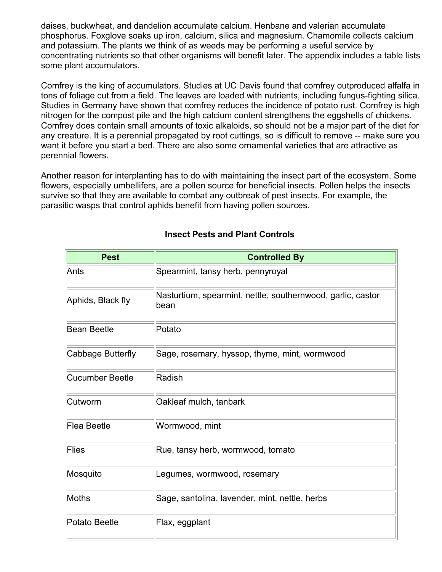daises, buckwheat, and dandelion accumulate calcium. Henbane and valerian accumulate phosphorus. Foxglove soaks up iron, calcium, silica and magnesium. Chamomile collects calcium and potassium. The plants we think of as weeds may be performing a useful service by concentrating nutrients so that other organisms will benefit later. The appendix includes a table lists some plant accumulators.

Comfrey is the king of accumulators. Studies at UC Davis found that comfrey outproduced alfalfa in tons of foliage cut from a field. The leaves are loaded with nutrients, including fungus-fighting silica. Studies in Germany have shown that comfrey reduces the incidence of potato rust. Comfrey is high nitrogen for the compost pile and the high calcium content strengthens the eggshells of chickens. Comfrey does contain small amounts of toxic alkaloids, so should not be a major part of the diet for any creature. It is a perennial propagated by root cuttings, so is difficult to remove -- make sure you want it before you start a bed. There are also some ornamental varieties that are attractive as perennial flowers.

Another reason for interplanting has to do with maintaining the insect part of the ecosystem. Some flowers, especially umbellifers, are a pollen source for beneficial insects. Pollen helps the insects survive so that they are available to combat any outbreak of pest insects. For example, the parasitic wasps that control aphids benefit from having pollen sources.

| <b>Pest</b>            | <b>Controlled By</b>                                                |  |  |  |  |
|------------------------|---------------------------------------------------------------------|--|--|--|--|
| Ants                   | Spearmint, tansy herb, pennyroyal                                   |  |  |  |  |
| Aphids, Black fly      | Nasturtium, spearmint, nettle, southernwood, garlic, castor<br>bean |  |  |  |  |
| <b>Bean Beetle</b>     | Potato                                                              |  |  |  |  |
| Cabbage Butterfly      | Sage, rosemary, hyssop, thyme, mint, wormwood                       |  |  |  |  |
| <b>Cucumber Beetle</b> | Radish                                                              |  |  |  |  |
| Cutworm                | Oakleaf mulch, tanbark                                              |  |  |  |  |
| Flea Beetle            | Wormwood, mint                                                      |  |  |  |  |
| <b>Flies</b>           | Rue, tansy herb, wormwood, tomato                                   |  |  |  |  |
| Mosquito               | Legumes, wormwood, rosemary                                         |  |  |  |  |
| Moths                  | Sage, santolina, lavender, mint, nettle, herbs                      |  |  |  |  |
| <b>Potato Beetle</b>   | Flax, eggplant                                                      |  |  |  |  |

### **Insect Pests and Plant Controls**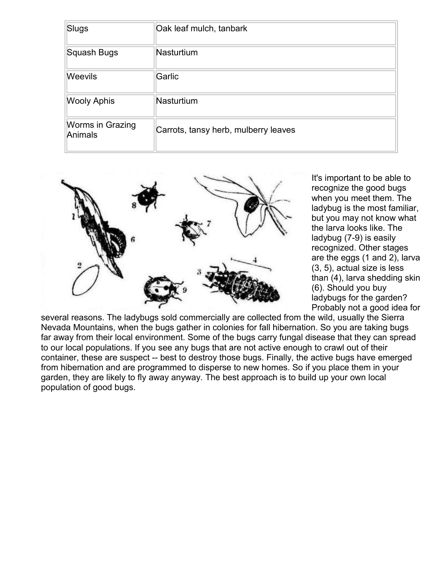| Slugs                       | Oak leaf mulch, tanbark              |
|-----------------------------|--------------------------------------|
| Squash Bugs                 | Nasturtium                           |
| <b>Weevils</b>              | Garlic                               |
| <b>Wooly Aphis</b>          | Nasturtium                           |
| Worms in Grazing<br>Animals | Carrots, tansy herb, mulberry leaves |



It's important to be able to recognize the good bugs when you meet them. The ladybug is the most familiar, but you may not know what the larva looks like. The ladybug (7-9) is easily recognized. Other stages are the eggs (1 and 2), larva (3, 5), actual size is less than (4), larva shedding skin (6). Should you buy ladybugs for the garden? Probably not a good idea for

several reasons. The ladybugs sold commercially are collected from the wild, usually the Sierra Nevada Mountains, when the bugs gather in colonies for fall hibernation. So you are taking bugs far away from their local environment. Some of the bugs carry fungal disease that they can spread to our local populations. If you see any bugs that are not active enough to crawl out of their container, these are suspect -- best to destroy those bugs. Finally, the active bugs have emerged from hibernation and are programmed to disperse to new homes. So if you place them in your garden, they are likely to fly away anyway. The best approach is to build up your own local population of good bugs.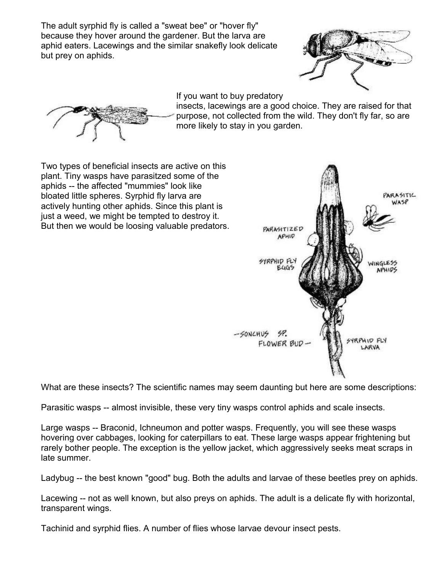The adult syrphid fly is called a "sweat bee" or "hover fly" because they hover around the gardener. But the larva are aphid eaters. Lacewings and the similar snakefly look delicate but prey on aphids.



If you want to buy predatory

insects, lacewings are a good choice. They are raised for that purpose, not collected from the wild. They don't fly far, so are more likely to stay in you garden.



Two types of beneficial insects are active on this plant. Tiny wasps have parasitzed some of the aphids -- the affected "mummies" look like bloated little spheres. Syrphid fly larva are actively hunting other aphids. Since this plant is just a weed, we might be tempted to destroy it. But then we would be loosing valuable predators.



What are these insects? The scientific names may seem daunting but here are some descriptions:

Parasitic wasps -- almost invisible, these very tiny wasps control aphids and scale insects.

Large wasps -- Braconid, Ichneumon and potter wasps. Frequently, you will see these wasps hovering over cabbages, looking for caterpillars to eat. These large wasps appear frightening but rarely bother people. The exception is the yellow jacket, which aggressively seeks meat scraps in late summer.

Ladybug -- the best known "good" bug. Both the adults and larvae of these beetles prey on aphids.

Lacewing -- not as well known, but also preys on aphids. The adult is a delicate fly with horizontal, transparent wings.

Tachinid and syrphid flies. A number of flies whose larvae devour insect pests.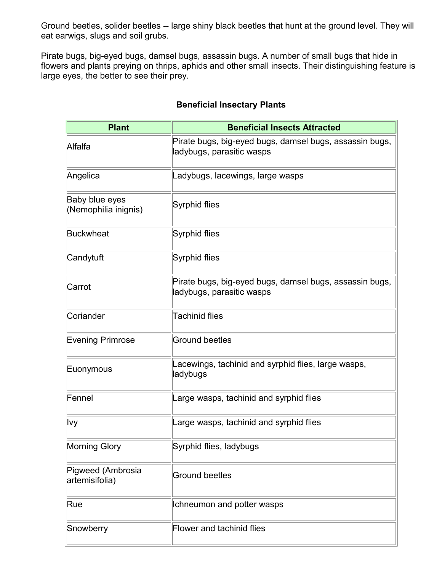Ground beetles, solider beetles -- large shiny black beetles that hunt at the ground level. They will eat earwigs, slugs and soil grubs.

Pirate bugs, big-eyed bugs, damsel bugs, assassin bugs. A number of small bugs that hide in flowers and plants preying on thrips, aphids and other small insects. Their distinguishing feature is large eyes, the better to see their prey.

### **Beneficial Insectary Plants**

| <b>Plant</b>                           | <b>Beneficial Insects Attracted</b>                                                  |  |  |  |
|----------------------------------------|--------------------------------------------------------------------------------------|--|--|--|
| Alfalfa                                | Pirate bugs, big-eyed bugs, damsel bugs, assassin bugs,<br>ladybugs, parasitic wasps |  |  |  |
| Angelica                               | Ladybugs, lacewings, large wasps                                                     |  |  |  |
| Baby blue eyes<br>(Nemophilia inignis) | Syrphid flies                                                                        |  |  |  |
| <b>Buckwheat</b>                       | Syrphid flies                                                                        |  |  |  |
| Candytuft                              | Syrphid flies                                                                        |  |  |  |
| Carrot                                 | Pirate bugs, big-eyed bugs, damsel bugs, assassin bugs,<br>ladybugs, parasitic wasps |  |  |  |
| Coriander                              | <b>Tachinid flies</b>                                                                |  |  |  |
| <b>Evening Primrose</b>                | <b>Ground beetles</b>                                                                |  |  |  |
| Euonymous                              | Lacewings, tachinid and syrphid flies, large wasps,<br>ladybugs                      |  |  |  |
| Fennel                                 | Large wasps, tachinid and syrphid flies                                              |  |  |  |
| lvy                                    | Large wasps, tachinid and syrphid flies                                              |  |  |  |
| <b>Morning Glory</b>                   | Syrphid flies, ladybugs                                                              |  |  |  |
| Pigweed (Ambrosia<br>artemisifolia)    | <b>Ground beetles</b>                                                                |  |  |  |
| Rue                                    | Ichneumon and potter wasps                                                           |  |  |  |
| Snowberry                              | <b>Flower and tachinid flies</b>                                                     |  |  |  |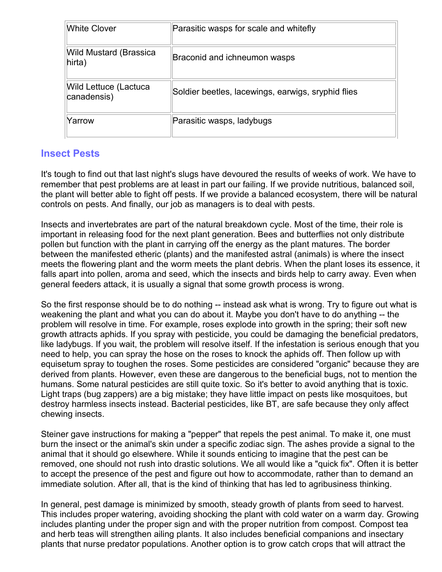| <b>White Clover</b>                  | Parasitic wasps for scale and whitefly             |
|--------------------------------------|----------------------------------------------------|
| Wild Mustard (Brassica<br>hirta)     | Braconid and ichneumon wasps                       |
| Wild Lettuce (Lactuca<br>canadensis) | Soldier beetles, lacewings, earwigs, sryphid flies |
| Yarrow                               | Parasitic wasps, ladybugs                          |

## **Insect Pests**

It's tough to find out that last night's slugs have devoured the results of weeks of work. We have to remember that pest problems are at least in part our failing. If we provide nutritious, balanced soil, the plant will better able to fight off pests. If we provide a balanced ecosystem, there will be natural controls on pests. And finally, our job as managers is to deal with pests.

Insects and invertebrates are part of the natural breakdown cycle. Most of the time, their role is important in releasing food for the next plant generation. Bees and butterflies not only distribute pollen but function with the plant in carrying off the energy as the plant matures. The border between the manifested etheric (plants) and the manifested astral (animals) is where the insect meets the flowering plant and the worm meets the plant debris. When the plant loses its essence, it falls apart into pollen, aroma and seed, which the insects and birds help to carry away. Even when general feeders attack, it is usually a signal that some growth process is wrong.

So the first response should be to do nothing -- instead ask what is wrong. Try to figure out what is weakening the plant and what you can do about it. Maybe you don't have to do anything -- the problem will resolve in time. For example, roses explode into growth in the spring; their soft new growth attracts aphids. If you spray with pesticide, you could be damaging the beneficial predators, like ladybugs. If you wait, the problem will resolve itself. If the infestation is serious enough that you need to help, you can spray the hose on the roses to knock the aphids off. Then follow up with equisetum spray to toughen the roses. Some pesticides are considered "organic" because they are derived from plants. However, even these are dangerous to the beneficial bugs, not to mention the humans. Some natural pesticides are still quite toxic. So it's better to avoid anything that is toxic. Light traps (bug zappers) are a big mistake; they have little impact on pests like mosquitoes, but destroy harmless insects instead. Bacterial pesticides, like BT, are safe because they only affect chewing insects.

Steiner gave instructions for making a "pepper" that repels the pest animal. To make it, one must burn the insect or the animal's skin under a specific zodiac sign. The ashes provide a signal to the animal that it should go elsewhere. While it sounds enticing to imagine that the pest can be removed, one should not rush into drastic solutions. We all would like a "quick fix". Often it is better to accept the presence of the pest and figure out how to accommodate, rather than to demand an immediate solution. After all, that is the kind of thinking that has led to agribusiness thinking.

In general, pest damage is minimized by smooth, steady growth of plants from seed to harvest. This includes proper watering, avoiding shocking the plant with cold water on a warm day. Growing includes planting under the proper sign and with the proper nutrition from compost. Compost tea and herb teas will strengthen ailing plants. It also includes beneficial companions and insectary plants that nurse predator populations. Another option is to grow catch crops that will attract the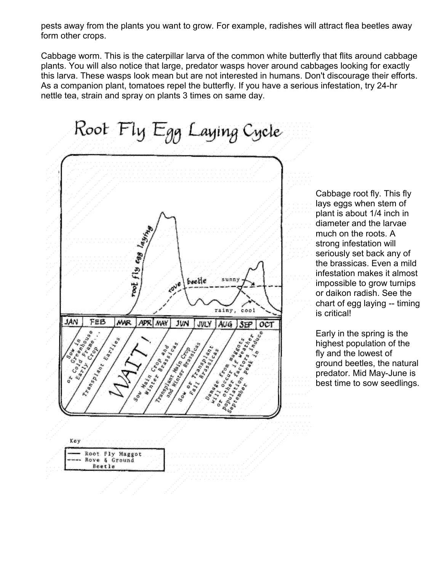pests away from the plants you want to grow. For example, radishes will attract flea beetles away form other crops.

Cabbage worm. This is the caterpillar larva of the common white butterfly that flits around cabbage plants. You will also notice that large, predator wasps hover around cabbages looking for exactly this larva. These wasps look mean but are not interested in humans. Don't discourage their efforts. As a companion plant, tomatoes repel the butterfly. If you have a serious infestation, try 24-hr nettle tea, strain and spray on plants 3 times on same day.



Cabbage root fly. This fly lays eggs when stem of plant is about 1/4 inch in diameter and the larvae much on the roots. A strong infestation will seriously set back any of the brassicas. Even a mild infestation makes it almost impossible to grow turnips or daikon radish. See the chart of egg laying -- timing is critical!

Early in the spring is the highest population of the fly and the lowest of ground beetles, the natural predator. Mid May-June is best time to sow seedlings.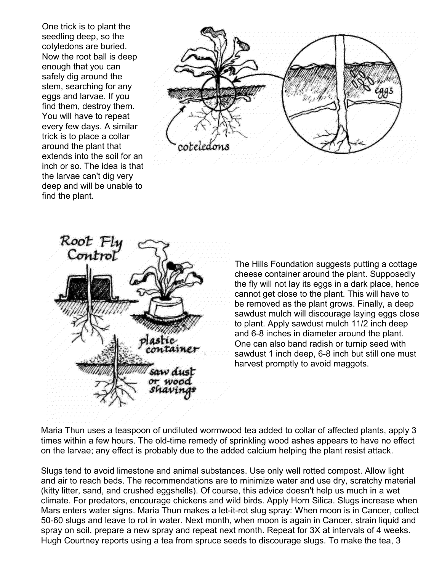One trick is to plant the seedling deep, so the cotyledons are buried. Now the root ball is deep enough that you can safely dig around the stem, searching for any eggs and larvae. If you find them, destroy them. You will have to repeat every few days. A similar trick is to place a collar around the plant that extends into the soil for an inch or so. The idea is that the larvae can't dig very deep and will be unable to find the plant.





The Hills Foundation suggests putting a cottage cheese container around the plant. Supposedly the fly will not lay its eggs in a dark place, hence cannot get close to the plant. This will have to be removed as the plant grows. Finally, a deep sawdust mulch will discourage laying eggs close to plant. Apply sawdust mulch 11/2 inch deep and 6-8 inches in diameter around the plant. One can also band radish or turnip seed with sawdust 1 inch deep, 6-8 inch but still one must harvest promptly to avoid maggots.

Maria Thun uses a teaspoon of undiluted wormwood tea added to collar of affected plants, apply 3 times within a few hours. The old-time remedy of sprinkling wood ashes appears to have no effect on the larvae; any effect is probably due to the added calcium helping the plant resist attack.

Slugs tend to avoid limestone and animal substances. Use only well rotted compost. Allow light and air to reach beds. The recommendations are to minimize water and use dry, scratchy material (kitty litter, sand, and crushed eggshells). Of course, this advice doesn't help us much in a wet climate. For predators, encourage chickens and wild birds. Apply Horn Silica. Slugs increase when Mars enters water signs. Maria Thun makes a let-it-rot slug spray: When moon is in Cancer, collect 50-60 slugs and leave to rot in water. Next month, when moon is again in Cancer, strain liquid and spray on soil, prepare a new spray and repeat next month. Repeat for 3X at intervals of 4 weeks. Hugh Courtney reports using a tea from spruce seeds to discourage slugs. To make the tea, 3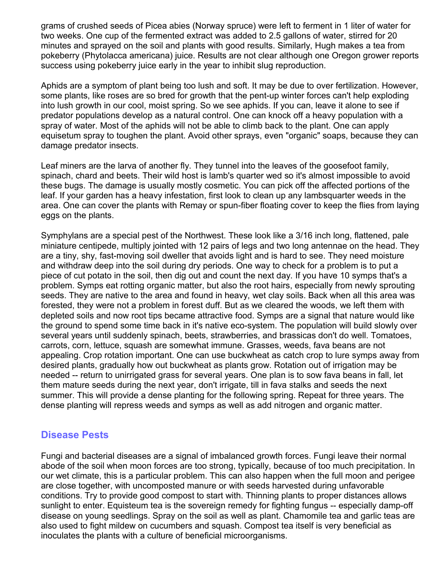grams of crushed seeds of Picea abies (Norway spruce) were left to ferment in 1 liter of water for two weeks. One cup of the fermented extract was added to 2.5 gallons of water, stirred for 20 minutes and sprayed on the soil and plants with good results. Similarly, Hugh makes a tea from pokeberry (Phytolacca americana) juice. Results are not clear although one Oregon grower reports success using pokeberry juice early in the year to inhibit slug reproduction.

Aphids are a symptom of plant being too lush and soft. It may be due to over fertilization. However, some plants, like roses are so bred for growth that the pent-up winter forces can't help exploding into lush growth in our cool, moist spring. So we see aphids. If you can, leave it alone to see if predator populations develop as a natural control. One can knock off a heavy population with a spray of water. Most of the aphids will not be able to climb back to the plant. One can apply equisetum spray to toughen the plant. Avoid other sprays, even "organic" soaps, because they can damage predator insects.

Leaf miners are the larva of another fly. They tunnel into the leaves of the goosefoot family, spinach, chard and beets. Their wild host is lamb's quarter wed so it's almost impossible to avoid these bugs. The damage is usually mostly cosmetic. You can pick off the affected portions of the leaf. If your garden has a heavy infestation, first look to clean up any lambsquarter weeds in the area. One can cover the plants with Remay or spun-fiber floating cover to keep the flies from laying eggs on the plants.

Symphylans are a special pest of the Northwest. These look like a 3/16 inch long, flattened, pale miniature centipede, multiply jointed with 12 pairs of legs and two long antennae on the head. They are a tiny, shy, fast-moving soil dweller that avoids light and is hard to see. They need moisture and withdraw deep into the soil during dry periods. One way to check for a problem is to put a piece of cut potato in the soil, then dig out and count the next day. If you have 10 symps that's a problem. Symps eat rotting organic matter, but also the root hairs, especially from newly sprouting seeds. They are native to the area and found in heavy, wet clay soils. Back when all this area was forested, they were not a problem in forest duff. But as we cleared the woods, we left them with depleted soils and now root tips became attractive food. Symps are a signal that nature would like the ground to spend some time back in it's native eco-system. The population will build slowly over several years until suddenly spinach, beets, strawberries, and brassicas don't do well. Tomatoes, carrots, corn, lettuce, squash are somewhat immune. Grasses, weeds, fava beans are not appealing. Crop rotation important. One can use buckwheat as catch crop to lure symps away from desired plants, gradually how out buckwheat as plants grow. Rotation out of irrigation may be needed -- return to unirrigated grass for several years. One plan is to sow fava beans in fall, let them mature seeds during the next year, don't irrigate, till in fava stalks and seeds the next summer. This will provide a dense planting for the following spring. Repeat for three years. The dense planting will repress weeds and symps as well as add nitrogen and organic matter.

#### **Disease Pests**

Fungi and bacterial diseases are a signal of imbalanced growth forces. Fungi leave their normal abode of the soil when moon forces are too strong, typically, because of too much precipitation. In our wet climate, this is a particular problem. This can also happen when the full moon and perigee are close together, with uncomposted manure or with seeds harvested during unfavorable conditions. Try to provide good compost to start with. Thinning plants to proper distances allows sunlight to enter. Equisteum tea is the sovereign remedy for fighting fungus -- especially damp-off disease on young seedlings. Spray on the soil as well as plant. Chamomile tea and garlic teas are also used to fight mildew on cucumbers and squash. Compost tea itself is very beneficial as inoculates the plants with a culture of beneficial microorganisms.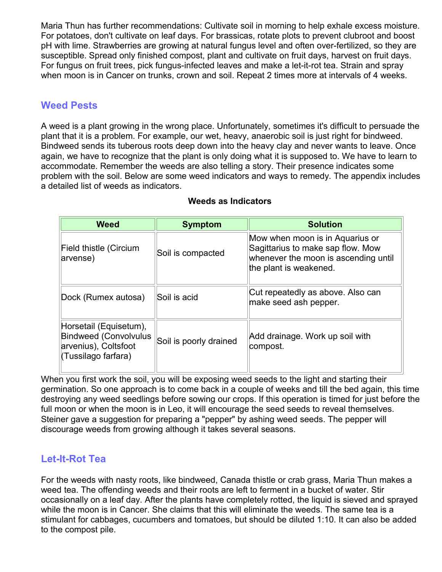Maria Thun has further recommendations: Cultivate soil in morning to help exhale excess moisture. For potatoes, don't cultivate on leaf days. For brassicas, rotate plots to prevent clubroot and boost pH with lime. Strawberries are growing at natural fungus level and often over-fertilized, so they are susceptible. Spread only finished compost, plant and cultivate on fruit days, harvest on fruit days. For fungus on fruit trees, pick fungus-infected leaves and make a let-it-rot tea. Strain and spray when moon is in Cancer on trunks, crown and soil. Repeat 2 times more at intervals of 4 weeks.

## **Weed Pests**

A weed is a plant growing in the wrong place. Unfortunately, sometimes it's difficult to persuade the plant that it is a problem. For example, our wet, heavy, anaerobic soil is just right for bindweed. Bindweed sends its tuberous roots deep down into the heavy clay and never wants to leave. Once again, we have to recognize that the plant is only doing what it is supposed to. We have to learn to accommodate. Remember the weeds are also telling a story. Their presence indicates some problem with the soil. Below are some weed indicators and ways to remedy. The appendix includes a detailed list of weeds as indicators.

| <b>Weed</b>                                                                                           | <b>Symptom</b>         | <b>Solution</b>                                                                                                                        |
|-------------------------------------------------------------------------------------------------------|------------------------|----------------------------------------------------------------------------------------------------------------------------------------|
| Field thistle (Circium<br>arvense)                                                                    | Soil is compacted      | Mow when moon is in Aquarius or<br>Sagittarius to make sap flow. Mow<br>whenever the moon is ascending until<br>the plant is weakened. |
| Dock (Rumex autosa)                                                                                   | Soil is acid           | Cut repeatedly as above. Also can<br>make seed ash pepper.                                                                             |
| Horsetail (Equisetum),<br><b>Bindweed (Convolvulus</b><br>arvenius), Coltsfoot<br>(Tussilago farfara) | Soil is poorly drained | Add drainage. Work up soil with<br>compost.                                                                                            |

#### **Weeds as Indicators**

When you first work the soil, you will be exposing weed seeds to the light and starting their germination. So one approach is to come back in a couple of weeks and till the bed again, this time destroying any weed seedlings before sowing our crops. If this operation is timed for just before the full moon or when the moon is in Leo, it will encourage the seed seeds to reveal themselves. Steiner gave a suggestion for preparing a "pepper" by ashing weed seeds. The pepper will discourage weeds from growing although it takes several seasons.

# **Let-It-Rot Tea**

For the weeds with nasty roots, like bindweed, Canada thistle or crab grass, Maria Thun makes a weed tea. The offending weeds and their roots are left to ferment in a bucket of water. Stir occasionally on a leaf day. After the plants have completely rotted, the liquid is sieved and sprayed while the moon is in Cancer. She claims that this will eliminate the weeds. The same tea is a stimulant for cabbages, cucumbers and tomatoes, but should be diluted 1:10. It can also be added to the compost pile.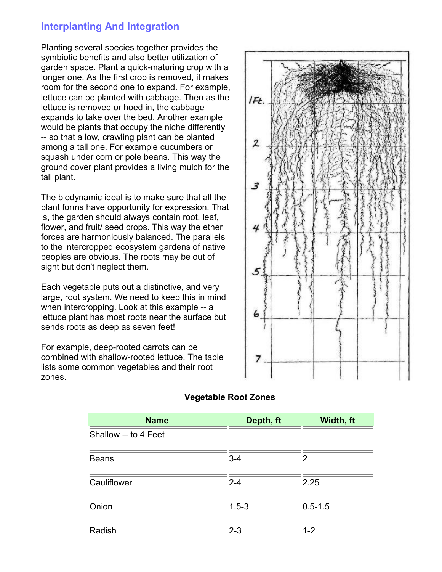### **Interplanting And Integration**

Planting several species together provides the symbiotic benefits and also better utilization of garden space. Plant a quick-maturing crop with a longer one. As the first crop is removed, it makes room for the second one to expand. For example, lettuce can be planted with cabbage. Then as the lettuce is removed or hoed in, the cabbage expands to take over the bed. Another example would be plants that occupy the niche differently -- so that a low, crawling plant can be planted among a tall one. For example cucumbers or squash under corn or pole beans. This way the ground cover plant provides a living mulch for the tall plant.

The biodynamic ideal is to make sure that all the plant forms have opportunity for expression. That is, the garden should always contain root, leaf, flower, and fruit/ seed crops. This way the ether forces are harmoniously balanced. The parallels to the intercropped ecosystem gardens of native peoples are obvious. The roots may be out of sight but don't neglect them.

Each vegetable puts out a distinctive, and very large, root system. We need to keep this in mind when intercropping. Look at this example -- a lettuce plant has most roots near the surface but sends roots as deep as seven feet!

For example, deep-rooted carrots can be combined with shallow-rooted lettuce. The table lists some common vegetables and their root zones.



| <b>Name</b>          | Depth, ft | Width, ft   |
|----------------------|-----------|-------------|
| Shallow -- to 4 Feet |           |             |
| <b>Beans</b>         | $3-4$     | 2           |
| Cauliflower          | $2 - 4$   | 2.25        |
| Onion                | $1.5 - 3$ | $0.5 - 1.5$ |
| Radish               | $2 - 3$   | $1 - 2$     |

#### **Vegetable Root Zones**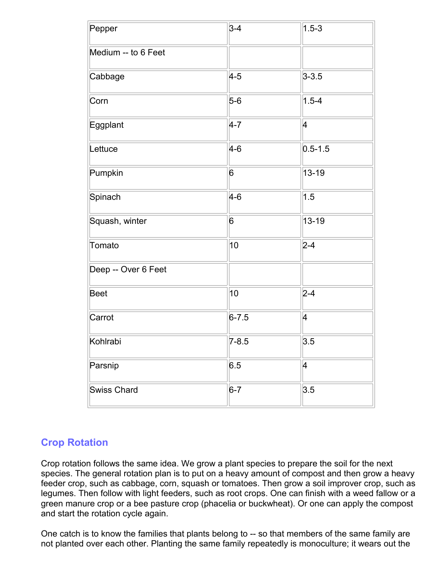| Pepper              | $3 - 4$   | $1.5 - 3$                |
|---------------------|-----------|--------------------------|
| Medium -- to 6 Feet |           |                          |
| Cabbage             | $4 - 5$   | $3 - 3.5$                |
| Corn                | $5-6$     | $1.5 - 4$                |
| Eggplant            | $4 - 7$   | 4                        |
| Lettuce             | $4 - 6$   | $0.5 - 1.5$              |
| Pumpkin             | 6         | 13-19                    |
| Spinach             | $4 - 6$   | 1.5                      |
| Squash, winter      | 6         | $13 - 19$                |
| Tomato              | 10        | $2 - 4$                  |
| Deep -- Over 6 Feet |           |                          |
| <b>Beet</b>         | 10        | $2 - 4$                  |
| Carrot              | $6 - 7.5$ | 4                        |
| Kohlrabi            | $7 - 8.5$ | 3.5                      |
| Parsnip             | 6.5       | $\overline{\mathcal{A}}$ |
| <b>Swiss Chard</b>  | $6-7$     | 3.5                      |

# **Crop Rotation**

Crop rotation follows the same idea. We grow a plant species to prepare the soil for the next species. The general rotation plan is to put on a heavy amount of compost and then grow a heavy feeder crop, such as cabbage, corn, squash or tomatoes. Then grow a soil improver crop, such as legumes. Then follow with light feeders, such as root crops. One can finish with a weed fallow or a green manure crop or a bee pasture crop (phacelia or buckwheat). Or one can apply the compost and start the rotation cycle again.

One catch is to know the families that plants belong to -- so that members of the same family are not planted over each other. Planting the same family repeatedly is monoculture; it wears out the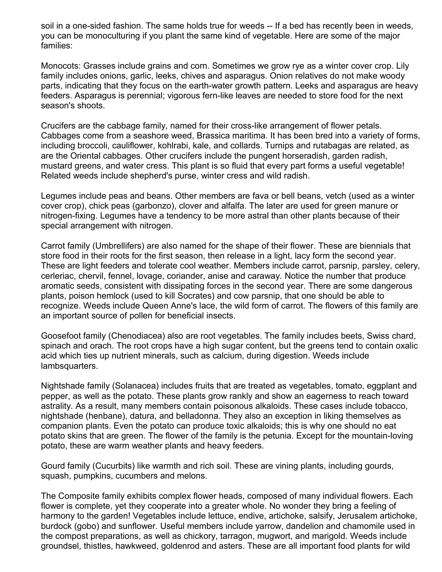soil in a one-sided fashion. The same holds true for weeds -- If a bed has recently been in weeds, you can be monoculturing if you plant the same kind of vegetable. Here are some of the major families:

Monocots: Grasses include grains and corn. Sometimes we grow rye as a winter cover crop. Lily family includes onions, garlic, leeks, chives and asparagus. Onion relatives do not make woody parts, indicating that they focus on the earth-water growth pattern. Leeks and asparagus are heavy feeders. Asparagus is perennial; vigorous fern-like leaves are needed to store food for the next season's shoots.

Crucifers are the cabbage family, named for their cross-like arrangement of flower petals. Cabbages come from a seashore weed, Brassica maritima. It has been bred into a variety of forms, including broccoli, cauliflower, kohlrabi, kale, and collards. Turnips and rutabagas are related, as are the Oriental cabbages. Other crucifers include the pungent horseradish, garden radish, mustard greens, and water cress. This plant is so fluid that every part forms a useful vegetable! Related weeds include shepherd's purse, winter cress and wild radish.

Legumes include peas and beans. Other members are fava or bell beans, vetch (used as a winter cover crop), chick peas (garbonzo), clover and alfalfa. The later are used for green manure or nitrogen-fixing. Legumes have a tendency to be more astral than other plants because of their special arrangement with nitrogen.

Carrot family (Umbrellifers) are also named for the shape of their flower. These are biennials that store food in their roots for the first season, then release in a light, lacy form the second year. These are light feeders and tolerate cool weather. Members include carrot, parsnip, parsley, celery, cerleriac, chervil, fennel, lovage, coriander, anise and caraway. Notice the number that produce aromatic seeds, consistent with dissipating forces in the second year. There are some dangerous plants, poison hemlock (used to kill Socrates) and cow parsnip, that one should be able to recognize. Weeds include Queen Anne's lace, the wild form of carrot. The flowers of this family are an important source of pollen for beneficial insects.

Goosefoot family (Chenodiacea) also are root vegetables. The family includes beets, Swiss chard, spinach and orach. The root crops have a high sugar content, but the greens tend to contain oxalic acid which ties up nutrient minerals, such as calcium, during digestion. Weeds include lambsquarters.

Nightshade family (Solanacea) includes fruits that are treated as vegetables, tomato, eggplant and pepper, as well as the potato. These plants grow rankly and show an eagerness to reach toward astrality. As a result, many members contain poisonous alkaloids. These cases include tobacco, nightshade (henbane), datura, and belladonna. They also an exception in liking themselves as companion plants. Even the potato can produce toxic alkaloids; this is why one should no eat potato skins that are green. The flower of the family is the petunia. Except for the mountain-loving potato, these are warm weather plants and heavy feeders.

Gourd family (Cucurbits) like warmth and rich soil. These are vining plants, including gourds, squash, pumpkins, cucumbers and melons.

The Composite family exhibits complex flower heads, composed of many individual flowers. Each flower is complete, yet they cooperate into a greater whole. No wonder they bring a feeling of harmony to the garden! Vegetables include lettuce, endive, artichoke, salsify, Jerusalem artichoke, burdock (gobo) and sunflower. Useful members include yarrow, dandelion and chamomile used in the compost preparations, as well as chickory, tarragon, mugwort, and marigold. Weeds include groundsel, thistles, hawkweed, goldenrod and asters. These are all important food plants for wild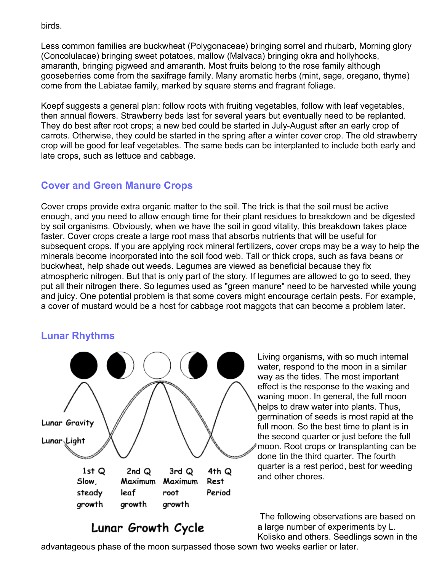birds.

Less common families are buckwheat (Polygonaceae) bringing sorrel and rhubarb, Morning glory (Concolulacae) bringing sweet potatoes, mallow (Malvaca) bringing okra and hollyhocks, amaranth, bringing pigweed and amaranth. Most fruits belong to the rose family although gooseberries come from the saxifrage family. Many aromatic herbs (mint, sage, oregano, thyme) come from the Labiatae family, marked by square stems and fragrant foliage.

Koepf suggests a general plan: follow roots with fruiting vegetables, follow with leaf vegetables, then annual flowers. Strawberry beds last for several years but eventually need to be replanted. They do best after root crops; a new bed could be started in July-August after an early crop of carrots. Otherwise, they could be started in the spring after a winter cover crop. The old strawberry crop will be good for leaf vegetables. The same beds can be interplanted to include both early and late crops, such as lettuce and cabbage.

# **Cover and Green Manure Crops**

Cover crops provide extra organic matter to the soil. The trick is that the soil must be active enough, and you need to allow enough time for their plant residues to breakdown and be digested by soil organisms. Obviously, when we have the soil in good vitality, this breakdown takes place faster. Cover crops create a large root mass that absorbs nutrients that will be useful for subsequent crops. If you are applying rock mineral fertilizers, cover crops may be a way to help the minerals become incorporated into the soil food web. Tall or thick crops, such as fava beans or buckwheat, help shade out weeds. Legumes are viewed as beneficial because they fix atmospheric nitrogen. But that is only part of the story. If legumes are allowed to go to seed, they put all their nitrogen there. So legumes used as "green manure" need to be harvested while young and juicy. One potential problem is that some covers might encourage certain pests. For example, a cover of mustard would be a host for cabbage root maggots that can become a problem later.

## **Lunar Rhythms**



# Lunar Growth Cycle

Living organisms, with so much internal water, respond to the moon in a similar way as the tides. The most important effect is the response to the waxing and waning moon. In general, the full moon helps to draw water into plants. Thus, germination of seeds is most rapid at the full moon. So the best time to plant is in the second quarter or just before the full moon. Root crops or transplanting can be done tin the third quarter. The fourth quarter is a rest period, best for weeding and other chores.

The following observations are based on a large number of experiments by L. Kolisko and others. Seedlings sown in the

advantageous phase of the moon surpassed those sown two weeks earlier or later.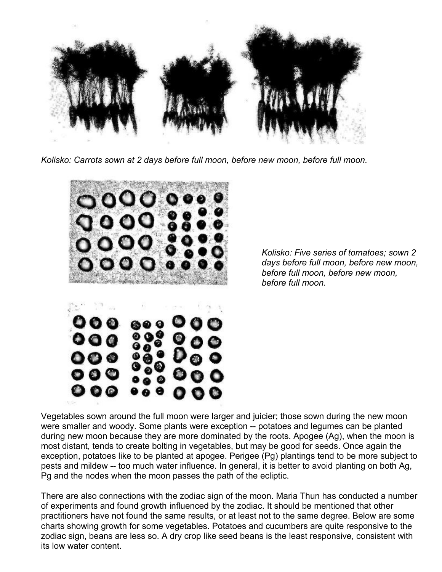

*Kolisko: Carrots sown at 2 days before full moon, before new moon, before full moon.*



*Kolisko: Five series of tomatoes; sown 2 days before full moon, before new moon, before full moon, before new moon, before full moon.*

Vegetables sown around the full moon were larger and juicier; those sown during the new moon were smaller and woody. Some plants were exception -- potatoes and legumes can be planted during new moon because they are more dominated by the roots. Apogee (Ag), when the moon is most distant, tends to create bolting in vegetables, but may be good for seeds. Once again the exception, potatoes like to be planted at apogee. Perigee (Pg) plantings tend to be more subject to pests and mildew -- too much water influence. In general, it is better to avoid planting on both Ag, Pg and the nodes when the moon passes the path of the ecliptic.

There are also connections with the zodiac sign of the moon. Maria Thun has conducted a number of experiments and found growth influenced by the zodiac. It should be mentioned that other practitioners have not found the same results, or at least not to the same degree. Below are some charts showing growth for some vegetables. Potatoes and cucumbers are quite responsive to the zodiac sign, beans are less so. A dry crop like seed beans is the least responsive, consistent with its low water content.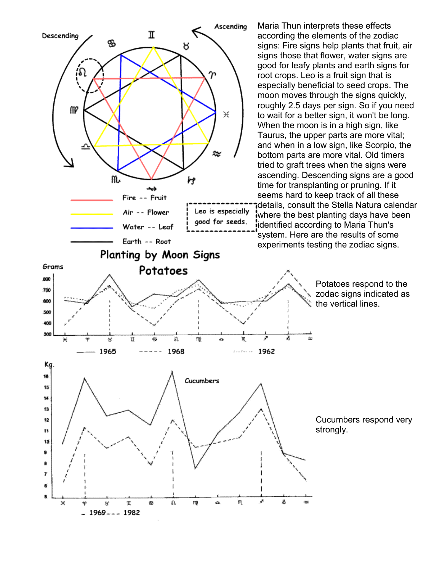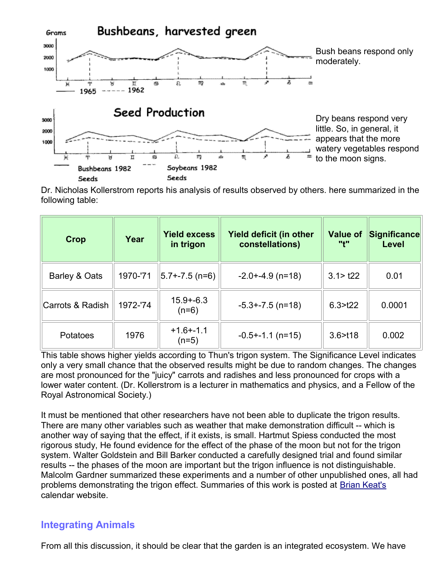

Dr. Nicholas Kollerstrom reports his analysis of results observed by others. here summarized in the following table:

| Crop             | Year     | <b>Yield excess</b><br>in trigon | Yield deficit (in other<br>constellations) | <b>Value of</b><br>11411 | <b>Significance</b><br>Level |
|------------------|----------|----------------------------------|--------------------------------------------|--------------------------|------------------------------|
| Barley & Oats    | 1970-'71 | $ 5.7 - 7.5$ (n=6)               | $-2.0 + -4.9$ (n=18)                       | 3.1 > t22                | 0.01                         |
| Carrots & Radish | 1972-'74 | $15.9 + -6.3$<br>$(n=6)$         | $-5.3 + -7.5$ (n=18)                       | 6.3 > t22                | 0.0001                       |
| Potatoes         | 1976     | $+1.6 + -1.1$<br>$(n=5)$         | $-0.5 + -1.1$ (n=15)                       | 3.6 > t18                | 0.002                        |

This table shows higher yields according to Thun's trigon system. The Significance Level indicates only a very small chance that the observed results might be due to random changes. The changes are most pronounced for the "juicy" carrots and radishes and less pronounced for crops with a lower water content. (Dr. Kollerstrom is a lecturer in mathematics and physics, and a Fellow of the Royal Astronomical Society.)

It must be mentioned that other researchers have not been able to duplicate the trigon results. There are many other variables such as weather that make demonstration difficult -- which is another way of saying that the effect, if it exists, is small. Hartmut Spiess conducted the most rigorous study, He found evidence for the effect of the phase of the moon but not for the trigon system. Walter Goldstein and Bill Barker conducted a carefully designed trial and found similar results -- the phases of the moon are important but the trigon influence is not distinguishable. Malcolm Gardner summarized these experiments and a number of other unpublished ones, all had problems demonstrating the trigon effect. Summaries of this work is posted at [Brian Keat's](http://www.acenet.com.au/~astrocal/index.html) calendar website.

### **Integrating Animals**

From all this discussion, it should be clear that the garden is an integrated ecosystem. We have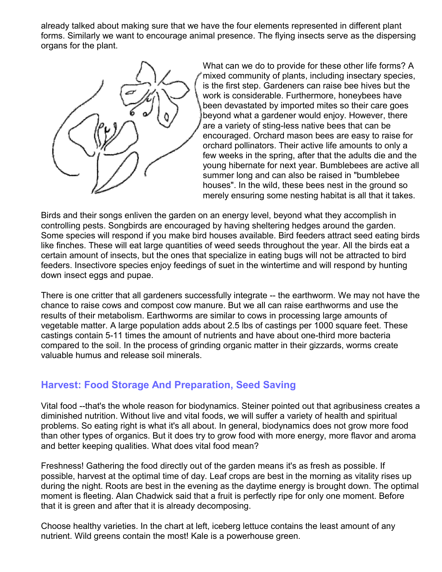already talked about making sure that we have the four elements represented in different plant forms. Similarly we want to encourage animal presence. The flying insects serve as the dispersing organs for the plant.



What can we do to provide for these other life forms? A mixed community of plants, including insectary species, is the first step. Gardeners can raise bee hives but the work is considerable. Furthermore, honeybees have been devastated by imported mites so their care goes beyond what a gardener would enjoy. However, there are a variety of sting-less native bees that can be encouraged. Orchard mason bees are easy to raise for orchard pollinators. Their active life amounts to only a few weeks in the spring, after that the adults die and the young hibernate for next year. Bumblebees are active all summer long and can also be raised in "bumblebee houses". In the wild, these bees nest in the ground so merely ensuring some nesting habitat is all that it takes.

Birds and their songs enliven the garden on an energy level, beyond what they accomplish in controlling pests. Songbirds are encouraged by having sheltering hedges around the garden. Some species will respond if you make bird houses available. Bird feeders attract seed eating birds like finches. These will eat large quantities of weed seeds throughout the year. All the birds eat a certain amount of insects, but the ones that specialize in eating bugs will not be attracted to bird feeders. Insectivore species enjoy feedings of suet in the wintertime and will respond by hunting down insect eggs and pupae.

There is one critter that all gardeners successfully integrate -- the earthworm. We may not have the chance to raise cows and compost cow manure. But we all can raise earthworms and use the results of their metabolism. Earthworms are similar to cows in processing large amounts of vegetable matter. A large population adds about 2.5 lbs of castings per 1000 square feet. These castings contain 5-11 times the amount of nutrients and have about one-third more bacteria compared to the soil. In the process of grinding organic matter in their gizzards, worms create valuable humus and release soil minerals.

# **Harvest: Food Storage And Preparation, Seed Saving**

Vital food --that's the whole reason for biodynamics. Steiner pointed out that agribusiness creates a diminished nutrition. Without live and vital foods, we will suffer a variety of health and spiritual problems. So eating right is what it's all about. In general, biodynamics does not grow more food than other types of organics. But it does try to grow food with more energy, more flavor and aroma and better keeping qualities. What does vital food mean?

Freshness! Gathering the food directly out of the garden means it's as fresh as possible. If possible, harvest at the optimal time of day. Leaf crops are best in the morning as vitality rises up during the night. Roots are best in the evening as the daytime energy is brought down. The optimal moment is fleeting. Alan Chadwick said that a fruit is perfectly ripe for only one moment. Before that it is green and after that it is already decomposing.

Choose healthy varieties. In the chart at left, iceberg lettuce contains the least amount of any nutrient. Wild greens contain the most! Kale is a powerhouse green.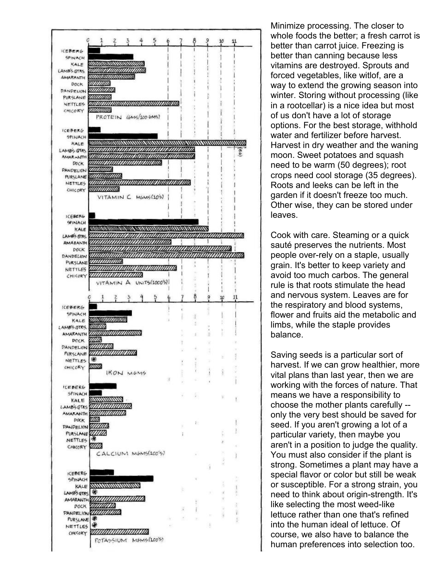

Minimize processing. The closer to whole foods the better; a fresh carrot is better than carrot juice. Freezing is better than canning because less vitamins are destroyed. Sprouts and forced vegetables, like witlof, are a way to extend the growing season into winter. Storing without processing (like in a rootcellar) is a nice idea but most of us don't have a lot of storage options. For the best storage, withhold water and fertilizer before harvest. Harvest in dry weather and the waning moon. Sweet potatoes and squash need to be warm (50 degrees); root crops need cool storage (35 degrees). Roots and leeks can be left in the garden if it doesn't freeze too much. Other wise, they can be stored under leaves.

Cook with care. Steaming or a quick sauté preserves the nutrients. Most people over-rely on a staple, usually grain. It's better to keep variety and avoid too much carbos. The general rule is that roots stimulate the head and nervous system. Leaves are for the respiratory and blood systems, flower and fruits aid the metabolic and limbs, while the staple provides balance.

Saving seeds is a particular sort of harvest. If we can grow healthier, more vital plans than last year, then we are working with the forces of nature. That means we have a responsibility to choose the mother plants carefully - only the very best should be saved for seed. If you aren't growing a lot of a particular variety, then maybe you aren't in a position to judge the quality. You must also consider if the plant is strong. Sometimes a plant may have a special flavor or color but still be weak or susceptible. For a strong strain, you need to think about origin-strength. It's like selecting the most weed-like lettuce rather than one that's refined into the human ideal of lettuce. Of course, we also have to balance the human preferences into selection too.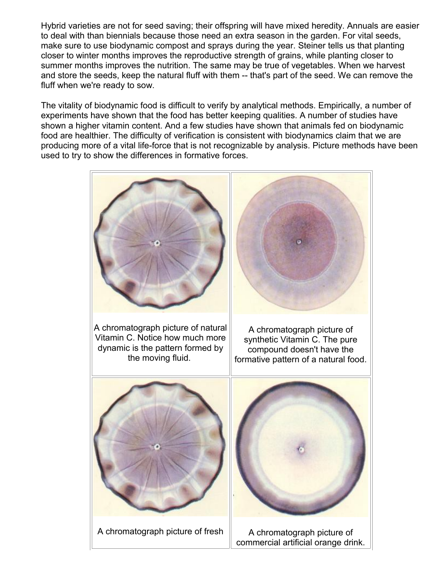Hybrid varieties are not for seed saving; their offspring will have mixed heredity. Annuals are easier to deal with than biennials because those need an extra season in the garden. For vital seeds, make sure to use biodynamic compost and sprays during the year. Steiner tells us that planting closer to winter months improves the reproductive strength of grains, while planting closer to summer months improves the nutrition. The same may be true of vegetables. When we harvest and store the seeds, keep the natural fluff with them -- that's part of the seed. We can remove the fluff when we're ready to sow.

The vitality of biodynamic food is difficult to verify by analytical methods. Empirically, a number of experiments have shown that the food has better keeping qualities. A number of studies have shown a higher vitamin content. And a few studies have shown that animals fed on biodynamic food are healthier. The difficulty of verification is consistent with biodynamics claim that we are producing more of a vital life-force that is not recognizable by analysis. Picture methods have been used to try to show the differences in formative forces.

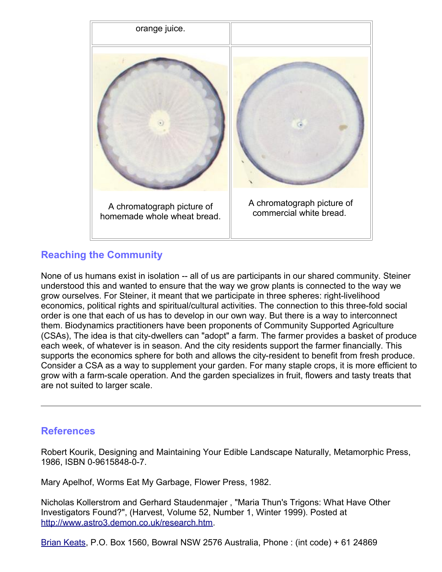

# **Reaching the Community**

None of us humans exist in isolation -- all of us are participants in our shared community. Steiner understood this and wanted to ensure that the way we grow plants is connected to the way we grow ourselves. For Steiner, it meant that we participate in three spheres: right-livelihood economics, political rights and spiritual/cultural activities. The connection to this three-fold social order is one that each of us has to develop in our own way. But there is a way to interconnect them. Biodynamics practitioners have been proponents of Community Supported Agriculture (CSAs), The idea is that city-dwellers can "adopt" a farm. The farmer provides a basket of produce each week, of whatever is in season. And the city residents support the farmer financially. This supports the economics sphere for both and allows the city-resident to benefit from fresh produce. Consider a CSA as a way to supplement your garden. For many staple crops, it is more efficient to grow with a farm-scale operation. And the garden specializes in fruit, flowers and tasty treats that are not suited to larger scale.

## **References**

Robert Kourik, Designing and Maintaining Your Edible Landscape Naturally, Metamorphic Press, 1986, ISBN 0-9615848-0-7.

Mary Apelhof, Worms Eat My Garbage, Flower Press, 1982.

Nicholas Kollerstrom and Gerhard Staudenmajer , "Maria Thun's Trigons: What Have Other Investigators Found?", (Harvest, Volume 52, Number 1, Winter 1999). Posted at [http://www.astro3.demon.co.uk/research.htm.](http://www.astro3.demon.co.uk/research.htm)